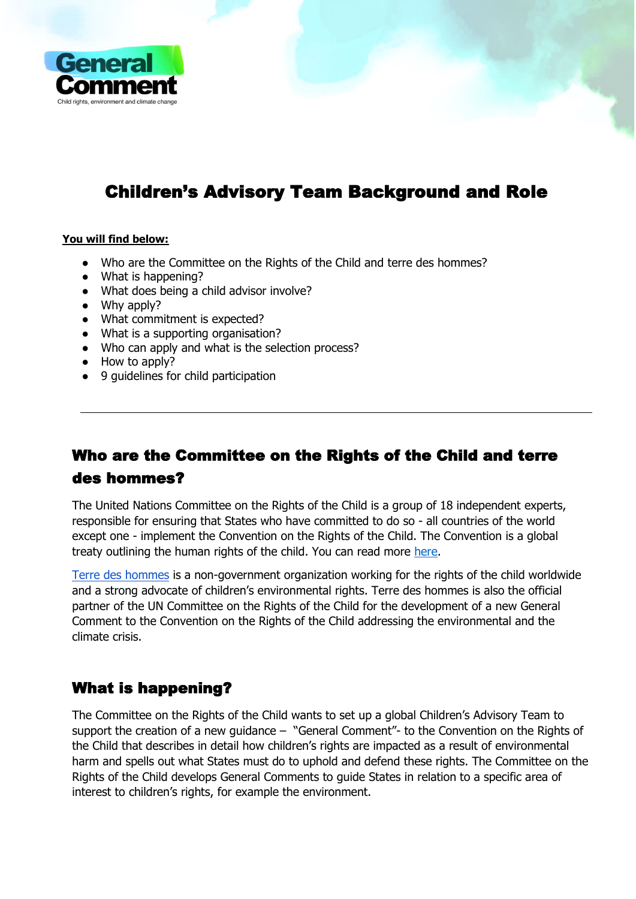

# Children's Advisory Team Background and Role

#### **You will find below:**

- Who are the Committee on the Rights of the Child and terre des hommes?
- What is happening?
- What does being a child advisor involve?
- Why apply?
- What commitment is expected?
- What is a supporting organisation?
- Who can apply and what is the selection process?
- How to apply?
- 9 guidelines for child participation

# Who are the Committee on the Rights of the Child and terre des hommes?

The United Nations Committee on the Rights of the Child is a group of 18 independent experts, responsible for ensuring that States who have committed to do so - all countries of the world except one - implement the Convention on the Rights of the Child. The Convention is a global treaty outlining the human rights of the child. You can read more [here.](https://www.ohchr.org/EN/HRBodies/CRC/Pages/InformationForChildren.aspx)

[Terre des hommes](https://www.tdh.de/wer-wir-sind/information-in-english/) is a non-government organization working for the rights of the child worldwide and a strong advocate of children's environmental rights. Terre des hommes is also the official partner of the UN Committee on the Rights of the Child for the development of a new General Comment to the Convention on the Rights of the Child addressing the environmental and the climate crisis.

# What is happening?

The Committee on the Rights of the Child wants to set up a global Children's Advisory Team to support the creation of a new guidance – "General Comment"- to the Convention on the Rights of the Child that describes in detail how children's rights are impacted as a result of environmental harm and spells out what States must do to uphold and defend these rights. The Committee on the Rights of the Child develops General Comments to guide States in relation to a specific area of interest to children's rights, for example the environment.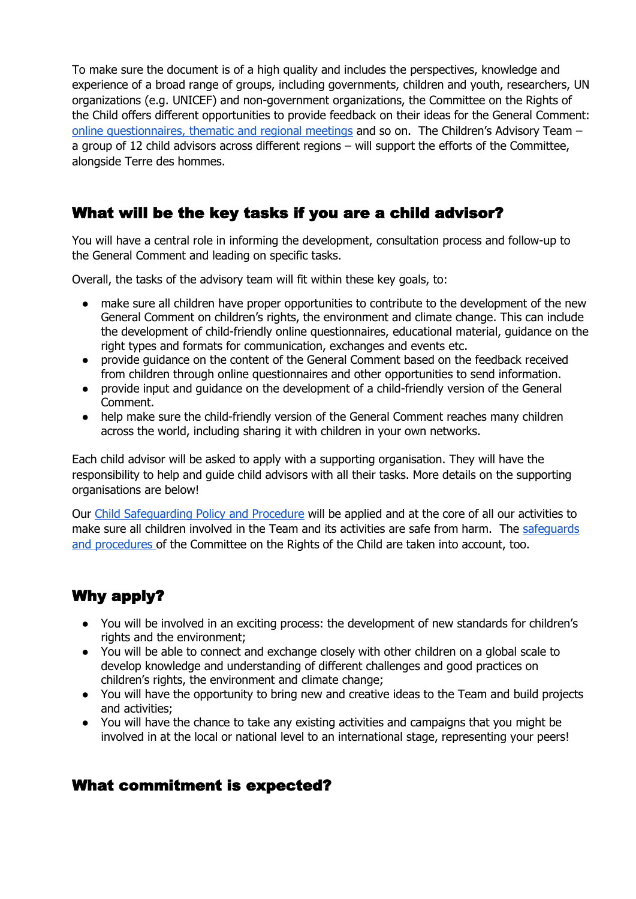To make sure the document is of a high quality and includes the perspectives, knowledge and experience of a broad range of groups, including governments, children and youth, researchers, UN organizations (e.g. UNICEF) and non-government organizations, the Committee on the Rights of the Child offers different opportunities to provide feedback on their ideas for the General Comment: [online questionnaires, thematic and regional meetings](https://childrightsenvironment.org/consultation/) and so on. The Children's Advisory Team – a group of 12 child advisors across different regions – will support the efforts of the Committee, alongside Terre des hommes.

# What will be the key tasks if you are a child advisor?

You will have a central role in informing the development, consultation process and follow-up to the General Comment and leading on specific tasks.

Overall, the tasks of the advisory team will fit within these key goals, to:

- make sure all children have proper opportunities to contribute to the development of the new General Comment on children's rights, the environment and climate change. This can include the development of child-friendly online questionnaires, educational material, guidance on the right types and formats for communication, exchanges and events etc.
- provide guidance on the content of the General Comment based on the feedback received from children through online questionnaires and other opportunities to send information.
- provide input and guidance on the development of a child-friendly version of the General Comment.
- help make sure the child-friendly version of the General Comment reaches many children across the world, including sharing it with children in your own networks.

Each child advisor will be asked to apply with a supporting organisation. They will have the responsibility to help and guide child advisors with all their tasks. More details on the supporting organisations are below!

Our [Child Safeguarding Policy and Procedure](https://www.tdh.de/fileadmin/user_upload/inhalte/02_wir_ueber_uns/Kindesschutz/tdh_Child-Safeguarding-Policy_web.pdf) will be applied and at the core of all our activities to make sure all children involved in the Team and its activities are safe from harm. The [safeguards](https://www.ohchr.org/EN/HRBodies/CRC/Pages/ChildParticipation.aspx)  [and procedures o](https://www.ohchr.org/EN/HRBodies/CRC/Pages/ChildParticipation.aspx)f the Committee on the Rights of the Child are taken into account, too.

# Why apply?

- You will be involved in an exciting process: the development of new standards for children's rights and the environment;
- You will be able to connect and exchange closely with other children on a global scale to develop knowledge and understanding of different challenges and good practices on children's rights, the environment and climate change;
- You will have the opportunity to bring new and creative ideas to the Team and build projects and activities;
- You will have the chance to take any existing activities and campaigns that you might be involved in at the local or national level to an international stage, representing your peers!

### What commitment is expected?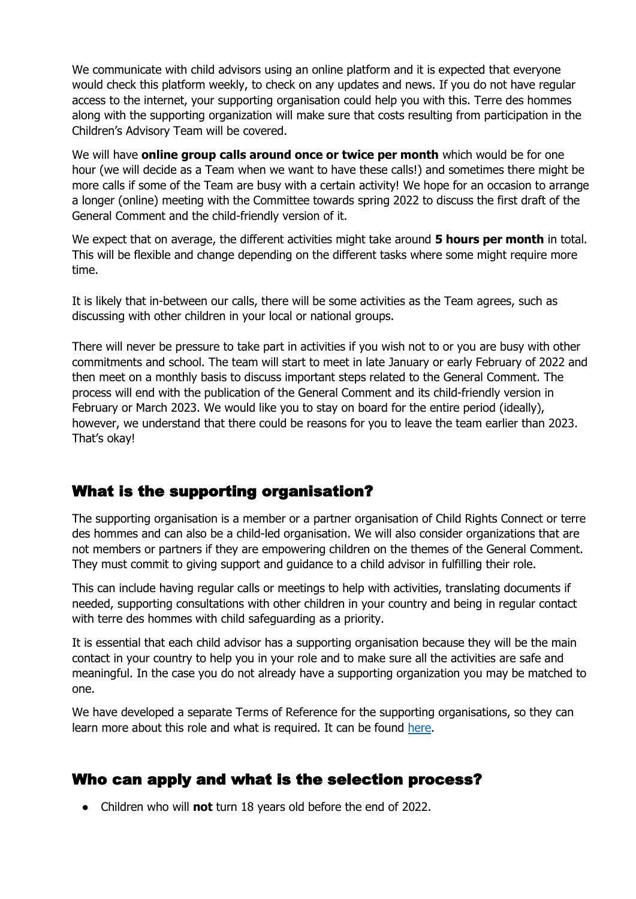We communicate with child advisors using an online platform and it is expected that everyone would check this platform weekly, to check on any updates and news. If you do not have regular access to the internet, your supporting organisation could help you with this. Terre des hommes along with the supporting organization will make sure that costs resulting from participation in the Children's Advisory Team will be covered.

We will have **online group calls around once or twice per month** which would be for one hour (we will decide as a Team when we want to have these calls!) and sometimes there might be more calls if some of the Team are busy with a certain activity! We hope for an occasion to arrange a longer (online) meeting with the Committee towards spring 2022 to discuss the first draft of the General Comment and the child-friendly version of it.

We expect that on average, the different activities might take around **5 hours per month** in total. This will be flexible and change depending on the different tasks where some might require more time.

It is likely that in-between our calls, there will be some activities as the Team agrees, such as discussing with other children in your local or national groups.

There will never be pressure to take part in activities if you wish not to or you are busy with other commitments and school. The team will start to meet in late January or early February of 2022 and then meet on a monthly basis to discuss important steps related to the General Comment. The process will end with the publication of the General Comment and its child-friendly version in February or March 2023. We would like you to stay on board for the entire period (ideally), however, we understand that there could be reasons for you to leave the team earlier than 2023. That's okay!

# What is the supporting organisation?

The supporting organisation is a member or a partner organisation of Child Rights Connect or terre des hommes and can also be a child-led organisation. We will also consider organizations that are not members or partners if they are empowering children on the themes of the General Comment. They must commit to giving support and guidance to a child advisor in fulfilling their role.

This can include having regular calls or meetings to help with activities, translating documents if needed, supporting consultations with other children in your country and being in regular contact with terre des hommes with child safeguarding as a priority.

It is essential that each child advisor has a supporting organisation because they will be the main contact in your country to help you in your role and to make sure all the activities are safe and meaningful. In the case you do not already have a supporting organization you may be matched to one.

We have developed a separate Terms of Reference for the supporting organisations, so they can learn more about this role and what is required. It can be found [here.](https://childrightsenvironment.org/wp-content/uploads/2021/12/Childrens-Advisory-Team_Supporting-Organization-Role.pdf)

### Who can apply and what is the selection process?

● Children who will **not** turn 18 years old before the end of 2022.